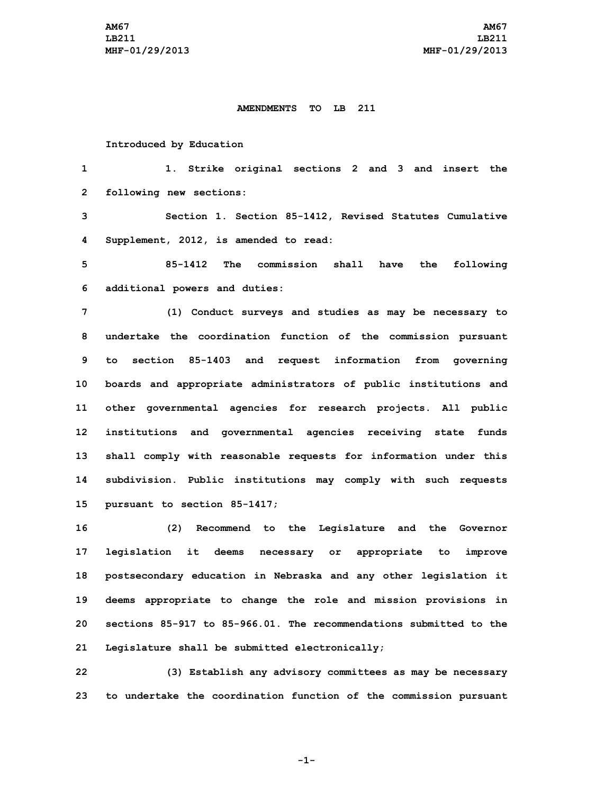## **AMENDMENTS TO LB 211**

## **Introduced by Education**

 **1. Strike original sections 2 and 3 and insert the following new sections: Section 1. Section 85-1412, Revised Statutes Cumulative Supplement, 2012, is amended to read: 85-1412 The commission shall have the following additional powers and duties: (1) Conduct surveys and studies as may be necessary to undertake the coordination function of the commission pursuant to section 85-1403 and request information from governing boards and appropriate administrators of public institutions and other governmental agencies for research projects. All public institutions and governmental agencies receiving state funds shall comply with reasonable requests for information under this subdivision. Public institutions may comply with such requests pursuant to section 85-1417;**

 **(2) Recommend to the Legislature and the Governor legislation it deems necessary or appropriate to improve postsecondary education in Nebraska and any other legislation it deems appropriate to change the role and mission provisions in sections 85-917 to 85-966.01. The recommendations submitted to the Legislature shall be submitted electronically;**

**22 (3) Establish any advisory committees as may be necessary 23 to undertake the coordination function of the commission pursuant**

**-1-**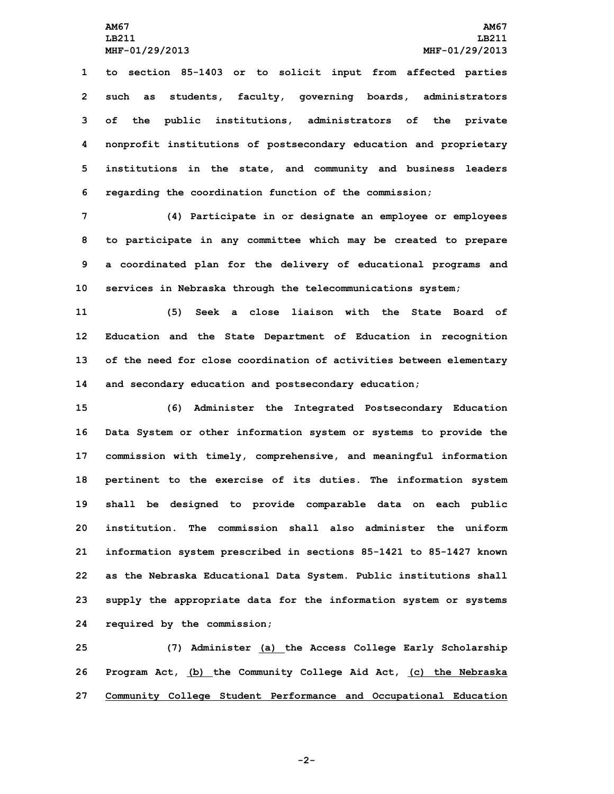**LB211 LB211**

 **to section 85-1403 or to solicit input from affected parties such as students, faculty, governing boards, administrators of the public institutions, administrators of the private nonprofit institutions of postsecondary education and proprietary institutions in the state, and community and business leaders regarding the coordination function of the commission;**

 **(4) Participate in or designate an employee or employees to participate in any committee which may be created to prepare <sup>a</sup> coordinated plan for the delivery of educational programs and services in Nebraska through the telecommunications system;**

 **(5) Seek <sup>a</sup> close liaison with the State Board of Education and the State Department of Education in recognition of the need for close coordination of activities between elementary and secondary education and postsecondary education;**

 **(6) Administer the Integrated Postsecondary Education Data System or other information system or systems to provide the commission with timely, comprehensive, and meaningful information pertinent to the exercise of its duties. The information system shall be designed to provide comparable data on each public institution. The commission shall also administer the uniform information system prescribed in sections 85-1421 to 85-1427 known as the Nebraska Educational Data System. Public institutions shall supply the appropriate data for the information system or systems required by the commission;**

**25 (7) Administer (a) the Access College Early Scholarship 26 Program Act, (b) the Community College Aid Act, (c) the Nebraska 27 Community College Student Performance and Occupational Education**

**-2-**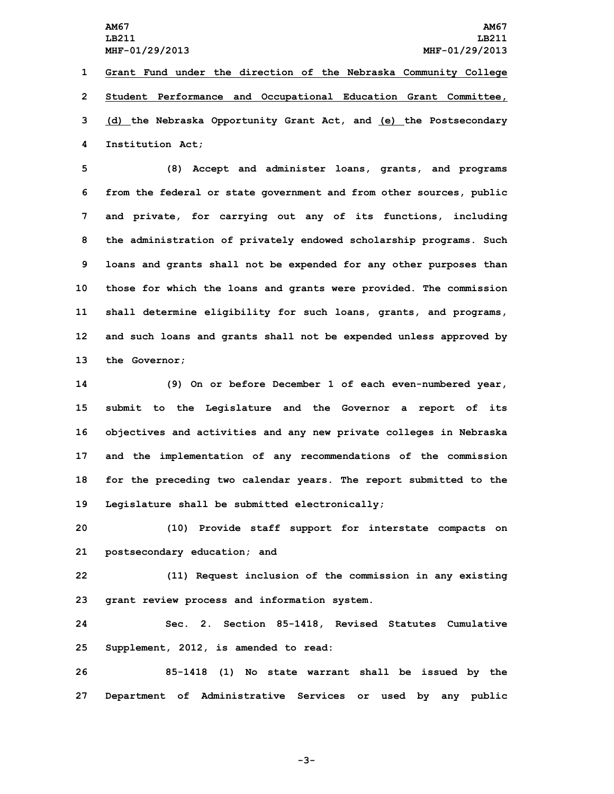**LB211 LB211**

 **Grant Fund under the direction of the Nebraska Community College Student Performance and Occupational Education Grant Committee, (d) the Nebraska Opportunity Grant Act, and (e) the Postsecondary Institution Act;**

 **(8) Accept and administer loans, grants, and programs from the federal or state government and from other sources, public and private, for carrying out any of its functions, including the administration of privately endowed scholarship programs. Such loans and grants shall not be expended for any other purposes than those for which the loans and grants were provided. The commission shall determine eligibility for such loans, grants, and programs, and such loans and grants shall not be expended unless approved by the Governor;**

 **(9) On or before December 1 of each even-numbered year, submit to the Legislature and the Governor <sup>a</sup> report of its objectives and activities and any new private colleges in Nebraska and the implementation of any recommendations of the commission for the preceding two calendar years. The report submitted to the Legislature shall be submitted electronically;**

**20 (10) Provide staff support for interstate compacts on 21 postsecondary education; and**

**22 (11) Request inclusion of the commission in any existing 23 grant review process and information system.**

**24 Sec. 2. Section 85-1418, Revised Statutes Cumulative 25 Supplement, 2012, is amended to read:**

**26 85-1418 (1) No state warrant shall be issued by the 27 Department of Administrative Services or used by any public**

**-3-**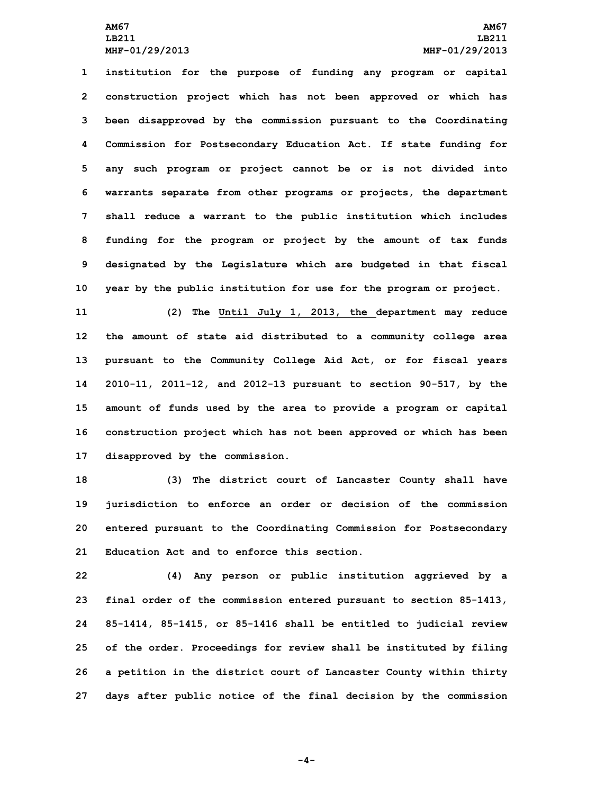**institution for the purpose of funding any program or capital construction project which has not been approved or which has been disapproved by the commission pursuant to the Coordinating Commission for Postsecondary Education Act. If state funding for any such program or project cannot be or is not divided into warrants separate from other programs or projects, the department shall reduce <sup>a</sup> warrant to the public institution which includes funding for the program or project by the amount of tax funds designated by the Legislature which are budgeted in that fiscal year by the public institution for use for the program or project.**

 **(2) The Until July 1, 2013, the department may reduce the amount of state aid distributed to <sup>a</sup> community college area pursuant to the Community College Aid Act, or for fiscal years 2010-11, 2011-12, and 2012-13 pursuant to section 90-517, by the amount of funds used by the area to provide <sup>a</sup> program or capital construction project which has not been approved or which has been disapproved by the commission.**

 **(3) The district court of Lancaster County shall have jurisdiction to enforce an order or decision of the commission entered pursuant to the Coordinating Commission for Postsecondary Education Act and to enforce this section.**

 **(4) Any person or public institution aggrieved by <sup>a</sup> final order of the commission entered pursuant to section 85-1413, 85-1414, 85-1415, or 85-1416 shall be entitled to judicial review of the order. Proceedings for review shall be instituted by filing <sup>a</sup> petition in the district court of Lancaster County within thirty days after public notice of the final decision by the commission**

**-4-**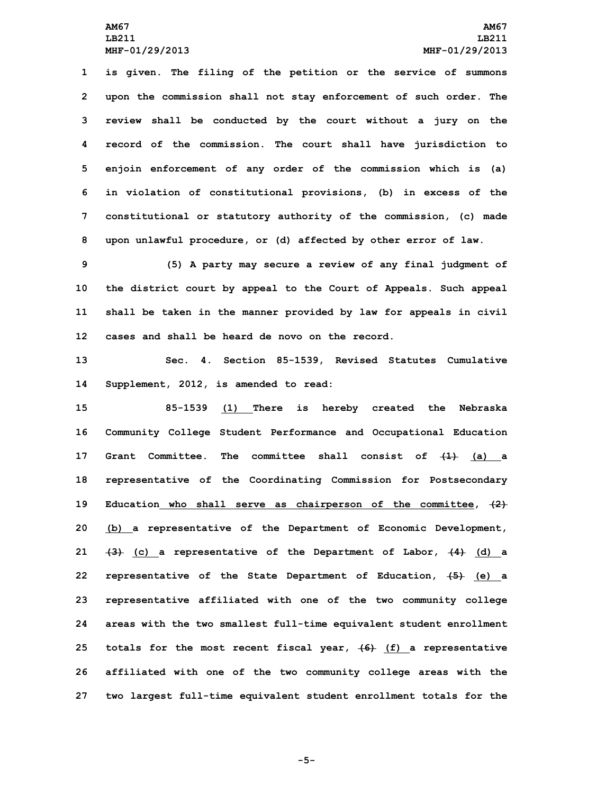**is given. The filing of the petition or the service of summons upon the commission shall not stay enforcement of such order. The review shall be conducted by the court without <sup>a</sup> jury on the record of the commission. The court shall have jurisdiction to enjoin enforcement of any order of the commission which is (a) in violation of constitutional provisions, (b) in excess of the constitutional or statutory authority of the commission, (c) made upon unlawful procedure, or (d) affected by other error of law.**

 **(5) <sup>A</sup> party may secure <sup>a</sup> review of any final judgment of the district court by appeal to the Court of Appeals. Such appeal shall be taken in the manner provided by law for appeals in civil cases and shall be heard de novo on the record.**

**13 Sec. 4. Section 85-1539, Revised Statutes Cumulative 14 Supplement, 2012, is amended to read:**

 **85-1539 (1) There is hereby created the Nebraska Community College Student Performance and Occupational Education Grant Committee. The committee shall consist of (1) (a) <sup>a</sup> representative of the Coordinating Commission for Postsecondary Education who shall serve as chairperson of the committee, (2) (b) <sup>a</sup> representative of the Department of Economic Development, (3) (c) <sup>a</sup> representative of the Department of Labor, (4) (d) <sup>a</sup> representative of the State Department of Education, (5) (e) <sup>a</sup> representative affiliated with one of the two community college areas with the two smallest full-time equivalent student enrollment totals for the most recent fiscal year, (6) (f) <sup>a</sup> representative affiliated with one of the two community college areas with the two largest full-time equivalent student enrollment totals for the**

**-5-**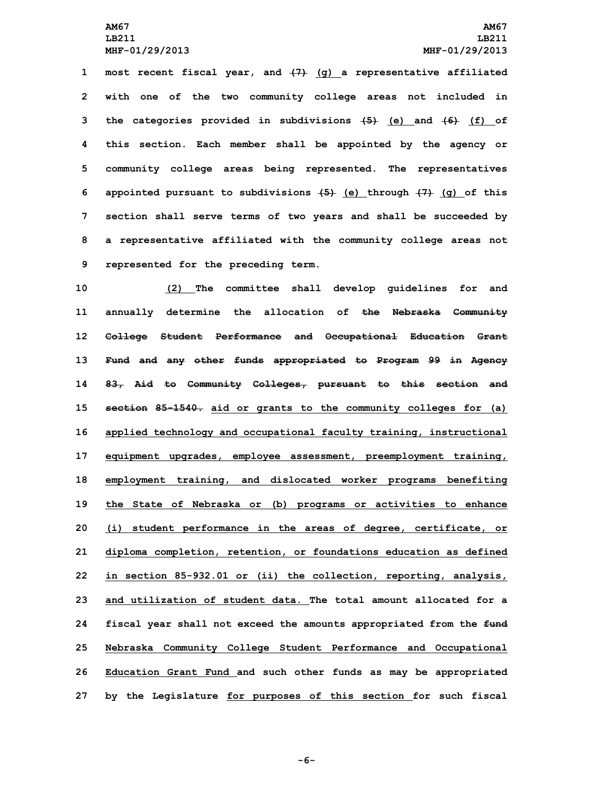**most recent fiscal year, and (7) (g) <sup>a</sup> representative affiliated with one of the two community college areas not included in the categories provided in subdivisions (5) (e) and (6) (f) of this section. Each member shall be appointed by the agency or community college areas being represented. The representatives appointed pursuant to subdivisions (5) (e) through (7) (g) of this section shall serve terms of two years and shall be succeeded by <sup>a</sup> representative affiliated with the community college areas not represented for the preceding term.**

 **(2) The committee shall develop guidelines for and annually determine the allocation of the Nebraska Community College Student Performance and Occupational Education Grant Fund and any other funds appropriated to Program 99 in Agency 83, Aid to Community Colleges, pursuant to this section and section 85-1540. aid or grants to the community colleges for (a) applied technology and occupational faculty training, instructional equipment upgrades, employee assessment, preemployment training, employment training, and dislocated worker programs benefiting the State of Nebraska or (b) programs or activities to enhance (i) student performance in the areas of degree, certificate, or diploma completion, retention, or foundations education as defined in section 85-932.01 or (ii) the collection, reporting, analysis, and utilization of student data. The total amount allocated for a fiscal year shall not exceed the amounts appropriated from the fund Nebraska Community College Student Performance and Occupational Education Grant Fund and such other funds as may be appropriated by the Legislature for purposes of this section for such fiscal**

**-6-**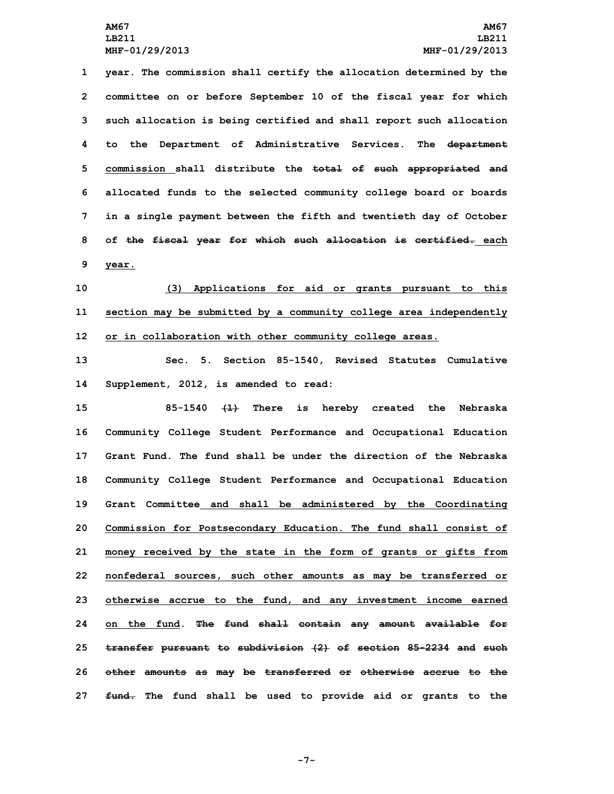**year. The commission shall certify the allocation determined by the committee on or before September 10 of the fiscal year for which such allocation is being certified and shall report such allocation to the Department of Administrative Services. The department commission shall distribute the total of such appropriated and allocated funds to the selected community college board or boards in <sup>a</sup> single payment between the fifth and twentieth day of October of the fiscal year for which such allocation is certified. each 9 year.**

**10 (3) Applications for aid or grants pursuant to this 11 section may be submitted by <sup>a</sup> community college area independently 12 or in collaboration with other community college areas.**

**13 Sec. 5. Section 85-1540, Revised Statutes Cumulative 14 Supplement, 2012, is amended to read:**

 **85-1540 (1) There is hereby created the Nebraska Community College Student Performance and Occupational Education Grant Fund. The fund shall be under the direction of the Nebraska Community College Student Performance and Occupational Education Grant Committee and shall be administered by the Coordinating Commission for Postsecondary Education. The fund shall consist of money received by the state in the form of grants or gifts from nonfederal sources, such other amounts as may be transferred or otherwise accrue to the fund, and any investment income earned on the fund. The fund shall contain any amount available for transfer pursuant to subdivision (2) of section 85-2234 and such other amounts as may be transferred or otherwise accrue to the fund. The fund shall be used to provide aid or grants to the**

**-7-**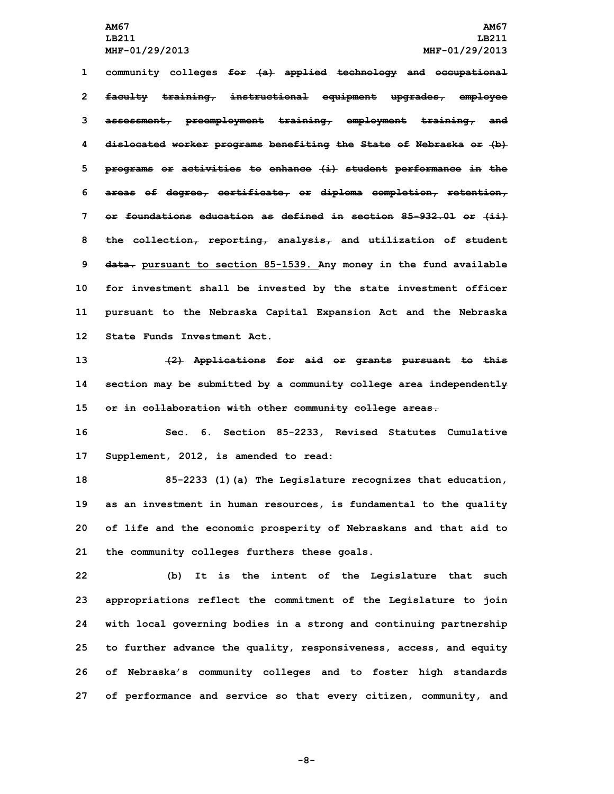**community colleges for (a) applied technology and occupational faculty training, instructional equipment upgrades, employee assessment, preemployment training, employment training, and dislocated worker programs benefiting the State of Nebraska or (b) programs or activities to enhance (i) student performance in the areas of degree, certificate, or diploma completion, retention, or foundations education as defined in section 85-932.01 or (ii) the collection, reporting, analysis, and utilization of student data. pursuant to section 85-1539. Any money in the fund available for investment shall be invested by the state investment officer pursuant to the Nebraska Capital Expansion Act and the Nebraska State Funds Investment Act.**

**13 (2) Applications for aid or grants pursuant to this 14 section may be submitted by <sup>a</sup> community college area independently 15 or in collaboration with other community college areas.**

**16 Sec. 6. Section 85-2233, Revised Statutes Cumulative 17 Supplement, 2012, is amended to read:**

 **85-2233 (1)(a) The Legislature recognizes that education, as an investment in human resources, is fundamental to the quality of life and the economic prosperity of Nebraskans and that aid to the community colleges furthers these goals.**

 **(b) It is the intent of the Legislature that such appropriations reflect the commitment of the Legislature to join with local governing bodies in <sup>a</sup> strong and continuing partnership to further advance the quality, responsiveness, access, and equity of Nebraska's community colleges and to foster high standards of performance and service so that every citizen, community, and**

**-8-**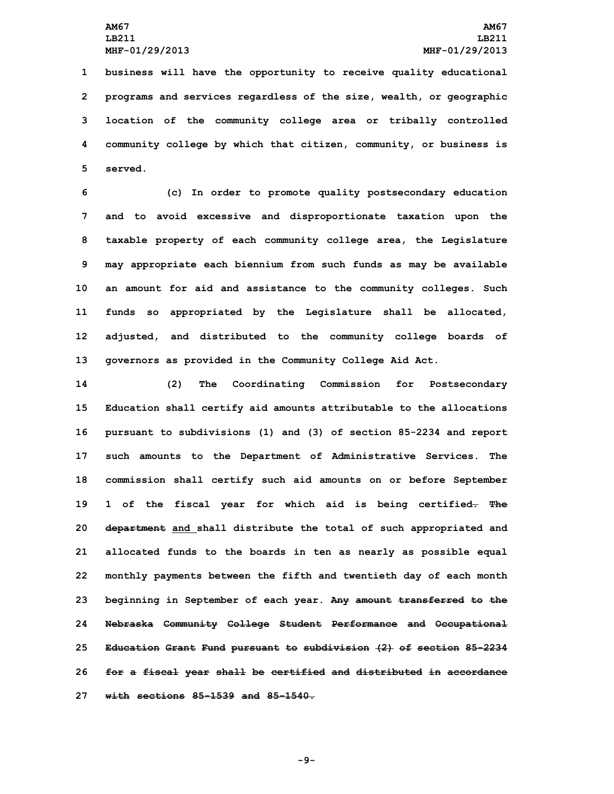**business will have the opportunity to receive quality educational programs and services regardless of the size, wealth, or geographic location of the community college area or tribally controlled community college by which that citizen, community, or business is 5 served.**

 **(c) In order to promote quality postsecondary education and to avoid excessive and disproportionate taxation upon the taxable property of each community college area, the Legislature may appropriate each biennium from such funds as may be available an amount for aid and assistance to the community colleges. Such funds so appropriated by the Legislature shall be allocated, adjusted, and distributed to the community college boards of governors as provided in the Community College Aid Act.**

 **(2) The Coordinating Commission for Postsecondary Education shall certify aid amounts attributable to the allocations pursuant to subdivisions (1) and (3) of section 85-2234 and report such amounts to the Department of Administrative Services. The commission shall certify such aid amounts on or before September 1 of the fiscal year for which aid is being certified. The department and shall distribute the total of such appropriated and allocated funds to the boards in ten as nearly as possible equal monthly payments between the fifth and twentieth day of each month beginning in September of each year. Any amount transferred to the Nebraska Community College Student Performance and Occupational Education Grant Fund pursuant to subdivision (2) of section 85-2234 for <sup>a</sup> fiscal year shall be certified and distributed in accordance with sections 85-1539 and 85-1540.**

**-9-**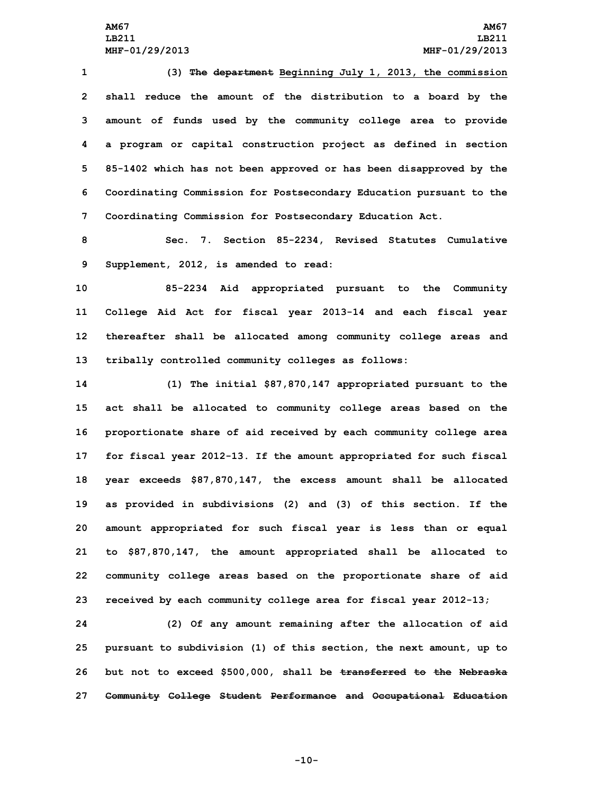**LB211 LB211 MHF-01/29/2013 MHF-01/29/2013**

 **(3) The department Beginning July 1, 2013, the commission shall reduce the amount of the distribution to <sup>a</sup> board by the amount of funds used by the community college area to provide <sup>a</sup> program or capital construction project as defined in section 85-1402 which has not been approved or has been disapproved by the Coordinating Commission for Postsecondary Education pursuant to the Coordinating Commission for Postsecondary Education Act.**

**8 Sec. 7. Section 85-2234, Revised Statutes Cumulative 9 Supplement, 2012, is amended to read:**

 **85-2234 Aid appropriated pursuant to the Community College Aid Act for fiscal year 2013-14 and each fiscal year thereafter shall be allocated among community college areas and tribally controlled community colleges as follows:**

 **(1) The initial \$87,870,147 appropriated pursuant to the act shall be allocated to community college areas based on the proportionate share of aid received by each community college area for fiscal year 2012-13. If the amount appropriated for such fiscal year exceeds \$87,870,147, the excess amount shall be allocated as provided in subdivisions (2) and (3) of this section. If the amount appropriated for such fiscal year is less than or equal to \$87,870,147, the amount appropriated shall be allocated to community college areas based on the proportionate share of aid received by each community college area for fiscal year 2012-13;**

 **(2) Of any amount remaining after the allocation of aid pursuant to subdivision (1) of this section, the next amount, up to but not to exceed \$500,000, shall be transferred to the Nebraska Community College Student Performance and Occupational Education**

**-10-**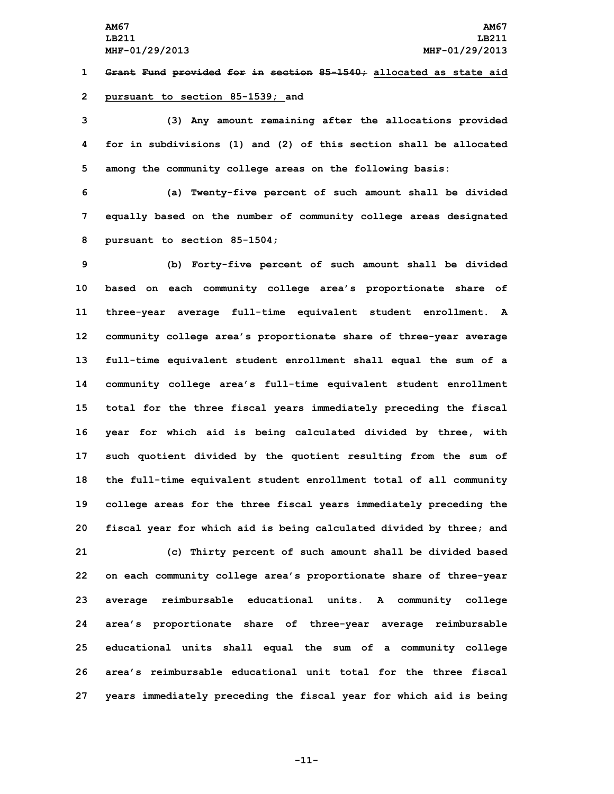**1 Grant Fund provided for in section 85-1540; allocated as state aid 2 pursuant to section 85-1539; and**

**3 (3) Any amount remaining after the allocations provided 4 for in subdivisions (1) and (2) of this section shall be allocated 5 among the community college areas on the following basis:**

**6 (a) Twenty-five percent of such amount shall be divided 7 equally based on the number of community college areas designated 8 pursuant to section 85-1504;**

 **(b) Forty-five percent of such amount shall be divided based on each community college area's proportionate share of three-year average full-time equivalent student enrollment. <sup>A</sup> community college area's proportionate share of three-year average full-time equivalent student enrollment shall equal the sum of <sup>a</sup> community college area's full-time equivalent student enrollment total for the three fiscal years immediately preceding the fiscal year for which aid is being calculated divided by three, with such quotient divided by the quotient resulting from the sum of the full-time equivalent student enrollment total of all community college areas for the three fiscal years immediately preceding the fiscal year for which aid is being calculated divided by three; and (c) Thirty percent of such amount shall be divided based on each community college area's proportionate share of three-year average reimbursable educational units. <sup>A</sup> community college area's proportionate share of three-year average reimbursable educational units shall equal the sum of <sup>a</sup> community college area's reimbursable educational unit total for the three fiscal years immediately preceding the fiscal year for which aid is being**